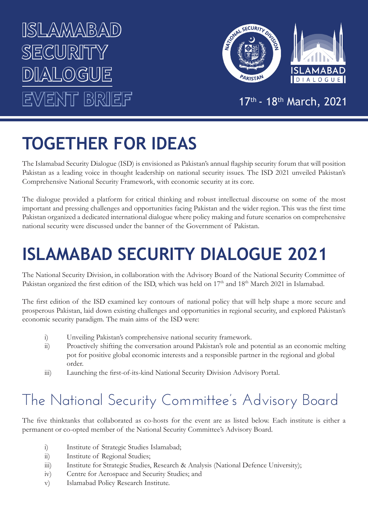## **ISLAMABAD**  SECURI<sup></sup> **DIALOGUE EVENT BRIEF**



#### 17th - 18th March, 2021

## **TOGETHER FOR IDEAS**

The Islamabad Security Dialogue (ISD) is envisioned as Pakistan's annual flagship security forum that will position Pakistan as a leading voice in thought leadership on national security issues. The ISD 2021 unveiled Pakistan's Comprehensive National Security Framework, with economic security at its core.

The dialogue provided a platform for critical thinking and robust intellectual discourse on some of the most important and pressing challenges and opportunities facing Pakistan and the wider region. This was the first time Pakistan organized a dedicated international dialogue where policy making and future scenarios on comprehensive national security were discussed under the banner of the Government of Pakistan.

## **ISLAMABAD SECURITY DIALOGUE 2021**

The National Security Division, in collaboration with the Advisory Board of the National Security Committee of Pakistan organized the first edition of the ISD, which was held on 17<sup>th</sup> and 18<sup>th</sup> March 2021 in Islamabad.

The first edition of the ISD examined key contours of national policy that will help shape a more secure and prosperous Pakistan, laid down existing challenges and opportunities in regional security, and explored Pakistan's economic security paradigm. The main aims of the ISD were:

- i) Unveiling Pakistan's comprehensive national security framework.
- ii) Proactively shifting the conversation around Pakistan's role and potential as an economic melting pot for positive global economic interests and a responsible partner in the regional and global order.
- iii) Launching the first-of-its-kind National Security Division Advisory Portal.

### The National Security Committee's Advisory Board

The five thinktanks that collaborated as co-hosts for the event are as listed below. Each institute is either a permanent or co-opted member of the National Security Committee's Advisory Board.

- i) Institute of Strategic Studies Islamabad;
- ii) Institute of Regional Studies;
- iii) Institute for Strategic Studies, Research & Analysis (National Defence University);
- iv) Centre for Aerospace and Security Studies; and
- v) Islamabad Policy Research Institute.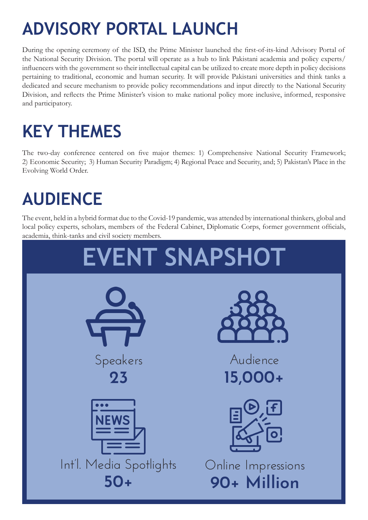## **ADVISORY PORTAL LAUNCH**

During the opening ceremony of the ISD, the Prime Minister launched the first-of-its-kind Advisory Portal of the National Security Division. The portal will operate as a hub to link Pakistani academia and policy experts/ influencers with the government so their intellectual capital can be utilized to create more depth in policy decisions pertaining to traditional, economic and human security. It will provide Pakistani universities and think tanks a dedicated and secure mechanism to provide policy recommendations and input directly to the National Security Division, and reflects the Prime Minister's vision to make national policy more inclusive, informed, responsive and participatory.

## **KEY THEMES**

The two-day conference centered on five major themes: 1) Comprehensive National Security Framework; 2) Economic Security; 3) Human Security Paradigm; 4) Regional Peace and Security, and; 5) Pakistan's Place in the Evolving World Order.

### **AUDIENCE**

The event, held in a hybrid format due to the Covid-19 pandemic, was attended by international thinkers, global and local policy experts, scholars, members of the Federal Cabinet, Diplomatic Corps, former government officials, academia, think-tanks and civil society members.

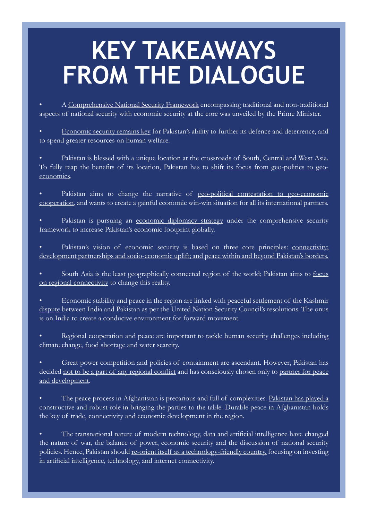# **KEY TAKEAWAYS FROM THE DIALOGUE**

• A Comprehensive National Security Framework encompassing traditional and non-traditional aspects of national security with economic security at the core was unveiled by the Prime Minister.

• Economic security remains key for Pakistan's ability to further its defence and deterrence, and to spend greater resources on human welfare.

Pakistan is blessed with a unique location at the crossroads of South, Central and West Asia. To fully reap the benefits of its location, Pakistan has to shift its focus from geo-politics to geoeconomics.

Pakistan aims to change the narrative of geo-political contestation to geo-economic cooperation, and wants to create a gainful economic win-win situation for all its international partners.

Pakistan is pursuing an economic diplomacy strategy under the comprehensive security framework to increase Pakistan's economic footprint globally.

Pakistan's vision of economic security is based on three core principles: connectivity; development partnerships and socio-economic uplift; and peace within and beyond Pakistan's borders.

• South Asia is the least geographically connected region of the world; Pakistan aims to focus on regional connectivity to change this reality.

• Economic stability and peace in the region are linked with peaceful settlement of the Kashmir dispute between India and Pakistan as per the United Nation Security Council's resolutions. The onus is on India to create a conducive environment for forward movement.

Regional cooperation and peace are important to tackle human security challenges including climate change, food shortage and water scarcity.

• Great power competition and policies of containment are ascendant. However, Pakistan has decided not to be a part of any regional conflict and has consciously chosen only to partner for peace and development.

The peace process in Afghanistan is precarious and full of complexities. Pakistan has played a constructive and robust role in bringing the parties to the table. Durable peace in Afghanistan holds the key of trade, connectivity and economic development in the region.

The transnational nature of modern technology, data and artificial intelligence have changed the nature of war, the balance of power, economic security and the discussion of national security policies. Hence, Pakistan should re-orient itself as a technology-friendly country, focusing on investing in artificial intelligence, technology, and internet connectivity.